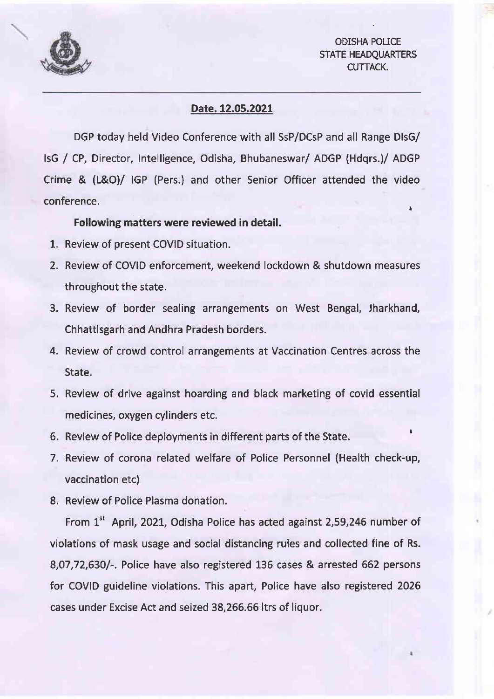

## ODISHA POLICE STATE HEADQUARTERS CUTTACK.

## Date. 12.05.2021

DGP today held Video Conference with all SsP/DCsP and all Range DlsG/ lsG / CP, Director, Intelligence, Odisha, Bhubaneswar/ ADGP (Hdqrs.)/ ADGP Crime & (L&O)/ IGP (Pers.) and other Senior Officer attended the video conference.

## Following matters were reviewed in detail.

- 1. Review of present COVID situation.
- 2. Review of COVID enforcement, weekend lockdown & shutdown measures throughout the state.
- 3. Review of border sealing arrangements on West Bengal, Jharkhand Chhattisgarh and Andhra Pradesh borders.
- 4. Review of crowd control arrangements at Vaccination Centres across the State.
- 5, Review of drive against hoarding and black marketing of covid essential medicines, oxygen cylinders etc.
- 6. Review of Police deployments in different parts of the State.
- 7. Review of corona related welfare of Police Personnel (Health check-up vaccination etc)
- 8. Review of Police Plasma donation.

From 1<sup>st</sup> April, 2021, Odisha Police has acted against 2,59,246 number of violations of mask usage and social distancing rules and collected fine of Rs. 8,07,72,630/-. Police have also registered 136 cases & arrested 662 persons for COVID guideline violations. This apart, Police have also registered 2026 cases under Excise Act and seized 38,266.66 ltrs of liquor.